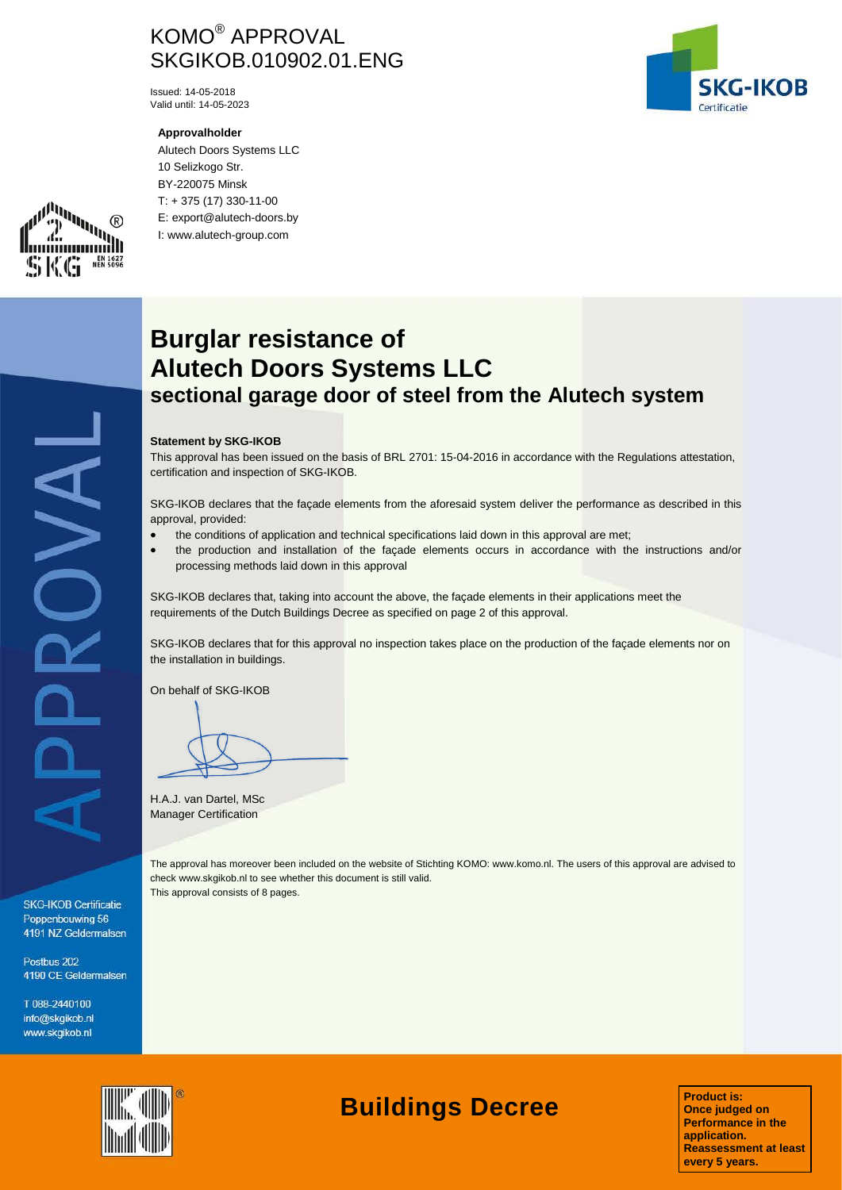# KOMO® APPROVAL SKGIKOB.010902.01.ENG

Issued: 14-05-2018 Valid until: 14-05-2023

## **Approvalholder**

Alutech Doors Systems LLC 10 Selizkogo Str. BY-220075 Minsk T: + 375 (17) 330-11-00 E: export@alutech-doors.by I: www.alutech-group.com





# PPROVAL

**SKG-IKOB Certificatie** Poppenbouwing 56 4191 NZ Geldermalsen

Postbus 202 4190 CE Geldermalsen

T 088-2440100 info@skgikob.nl www.skgikob.nl

# **Burglar resistance of Alutech Doors Systems LLC sectional garage door of steel from the Alutech system**

# **Statement by SKG-IKOB**

This approval has been issued on the basis of BRL 2701: 15-04-2016 in accordance with the Regulations attestation, certification and inspection of SKG-IKOB.

SKG-IKOB declares that the façade elements from the aforesaid system deliver the performance as described in this approval, provided:

- the conditions of application and technical specifications laid down in this approval are met;
- the production and installation of the façade elements occurs in accordance with the instructions and/or processing methods laid down in this approval

SKG-IKOB declares that, taking into account the above, the façade elements in their applications meet the requirements of the Dutch Buildings Decree as specified on page 2 of this approval.

SKG-IKOB declares that for this approval no inspection takes place on the production of the facade elements nor on the installation in buildings.

On behalf of SKG-IKOB

H.A.J. van Dartel, MSc Manager Certification

The approval has moreover been included on the website of Stichting KOMO: www.komo.nl. The users of this approval are advised to check www.skgikob.nl to see whether this document is still valid. This approval consists of 8 pages.



# **Buildings Decree**

**Product is: Once judged on Performance in the application. Reassessment at least every 5 years.**